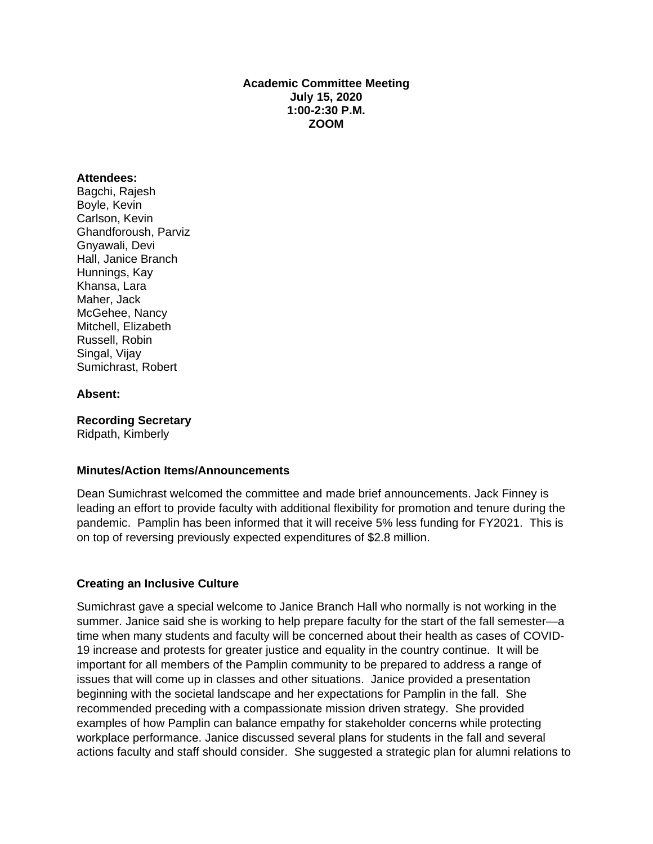### **Academic Committee Meeting July 15, 2020 1:00-2:30 P.M. ZOOM**

#### **Attendees:**

Bagchi, Rajesh Boyle, Kevin Carlson, Kevin Ghandforoush, Parviz Gnyawali, Devi Hall, Janice Branch Hunnings, Kay Khansa, Lara Maher, Jack McGehee, Nancy Mitchell, Elizabeth Russell, Robin Singal, Vijay Sumichrast, Robert

#### **Absent:**

**Recording Secretary** Ridpath, Kimberly

#### **Minutes/Action Items/Announcements**

Dean Sumichrast welcomed the committee and made brief announcements. Jack Finney is leading an effort to provide faculty with additional flexibility for promotion and tenure during the pandemic. Pamplin has been informed that it will receive 5% less funding for FY2021. This is on top of reversing previously expected expenditures of \$2.8 million.

#### **Creating an Inclusive Culture**

Sumichrast gave a special welcome to Janice Branch Hall who normally is not working in the summer. Janice said she is working to help prepare faculty for the start of the fall semester-a time when many students and faculty will be concerned about their health as cases of COVID-19 increase and protests for greater justice and equality in the country continue. It will be important for all members of the Pamplin community to be prepared to address a range of issues that will come up in classes and other situations. Janice provided a presentation beginning with the societal landscape and her expectations for Pamplin in the fall. She recommended preceding with a compassionate mission driven strategy. She provided examples of how Pamplin can balance empathy for stakeholder concerns while protecting workplace performance. Janice discussed several plans for students in the fall and several actions faculty and staff should consider. She suggested a strategic plan for alumni relations to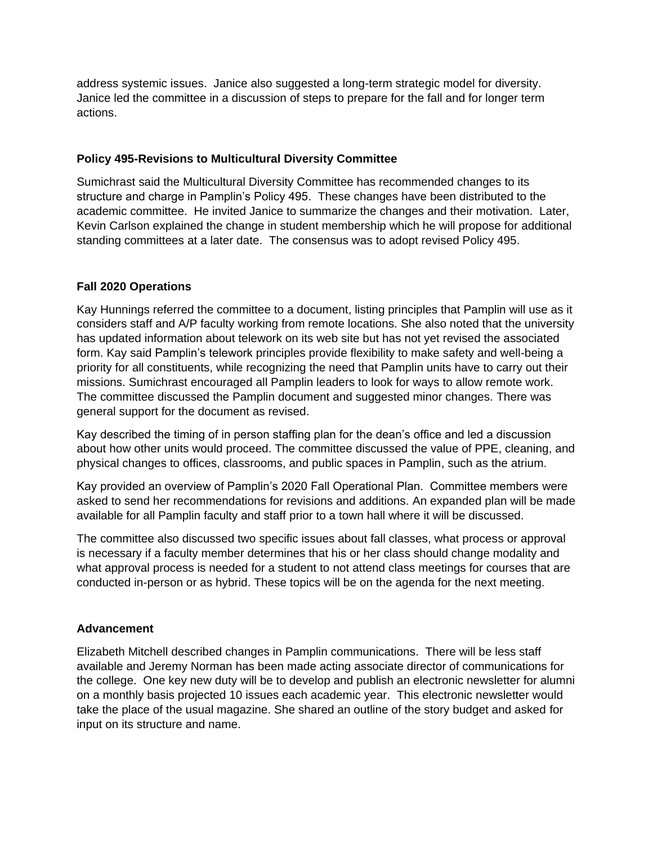address systemic issues. Janice also suggested a long-term strategic model for diversity. Janice led the committee in a discussion of steps to prepare for the fall and for longer term actions.

## **Policy 495-Revisions to Multicultural Diversity Committee**

Sumichrast said the Multicultural Diversity Committee has recommended changes to its structure and charge in Pamplin's Policy 495. These changes have been distributed to the academic committee. He invited Janice to summarize the changes and their motivation. Later, Kevin Carlson explained the change in student membership which he will propose for additional standing committees at a later date. The consensus was to adopt revised Policy 495.

### **Fall 2020 Operations**

Kay Hunnings referred the committee to a document, listing principles that Pamplin will use as it considers staff and A/P faculty working from remote locations. She also noted that the university has updated information about telework on its web site but has not yet revised the associated form. Kay said Pamplin's telework principles provide flexibility to make safety and well-being a priority for all constituents, while recognizing the need that Pamplin units have to carry out their missions. Sumichrast encouraged all Pamplin leaders to look for ways to allow remote work. The committee discussed the Pamplin document and suggested minor changes. There was general support for the document as revised.

Kay described the timing of in person staffing plan for the dean's office and led a discussion about how other units would proceed. The committee discussed the value of PPE, cleaning, and physical changes to offices, classrooms, and public spaces in Pamplin, such as the atrium.

Kay provided an overview of Pamplin's 2020 Fall Operational Plan. Committee members were asked to send her recommendations for revisions and additions. An expanded plan will be made available for all Pamplin faculty and staff prior to a town hall where it will be discussed.

The committee also discussed two specific issues about fall classes, what process or approval is necessary if a faculty member determines that his or her class should change modality and what approval process is needed for a student to not attend class meetings for courses that are conducted in-person or as hybrid. These topics will be on the agenda for the next meeting.

## **Advancement**

Elizabeth Mitchell described changes in Pamplin communications. There will be less staff available and Jeremy Norman has been made acting associate director of communications for the college. One key new duty will be to develop and publish an electronic newsletter for alumni on a monthly basis projected 10 issues each academic year. This electronic newsletter would take the place of the usual magazine. She shared an outline of the story budget and asked for input on its structure and name.